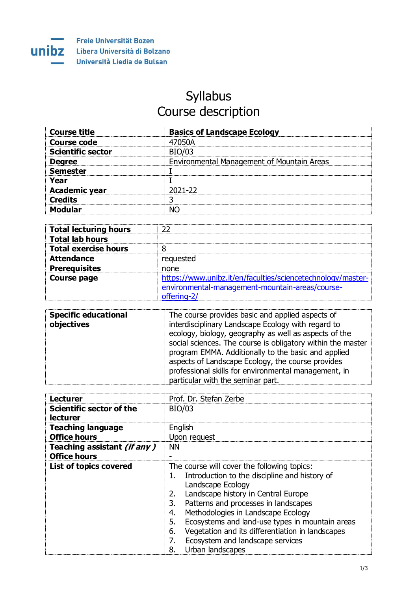

## Syllabus Course description

| <b>Course title</b>      | <b>Basics of Landscape Ecology</b>         |
|--------------------------|--------------------------------------------|
| <b>Course code</b>       | 47050A                                     |
| <b>Scientific sector</b> | <b>BIO/03</b>                              |
| <b>Degree</b>            | Environmental Management of Mountain Areas |
| <b>Semester</b>          |                                            |
| Year                     |                                            |
| <b>Academic year</b>     | 2021-22                                    |
| <b>Credits</b>           | ີ                                          |
| <b>Modular</b>           | NΟ                                         |

| <b>Total lecturing hours</b> | フフ                                                          |
|------------------------------|-------------------------------------------------------------|
| <b>Total lab hours</b>       |                                                             |
| <b>Total exercise hours</b>  |                                                             |
| <b>Attendance</b>            | requested                                                   |
| <b>Prerequisites</b>         | none                                                        |
| <b>Course page</b>           | https://www.unibz.it/en/faculties/sciencetechnology/master- |
|                              | environmental-management-mountain-areas/course-             |
|                              | offering-2/                                                 |

| <b>Specific educational</b><br>objectives | The course provides basic and applied aspects of<br>interdisciplinary Landscape Ecology with regard to<br>ecology, biology, geography as well as aspects of the<br>social sciences. The course is obligatory within the master<br>program EMMA. Additionally to the basic and applied |
|-------------------------------------------|---------------------------------------------------------------------------------------------------------------------------------------------------------------------------------------------------------------------------------------------------------------------------------------|
|                                           | aspects of Landscape Ecology, the course provides<br>professional skills for environmental management, in<br>particular with the seminar part.                                                                                                                                        |

| <b>Lecturer</b>                             | Prof. Dr. Stefan Zerbe                                                                                                                                                                                                                                                                                                                                                                                                                                |
|---------------------------------------------|-------------------------------------------------------------------------------------------------------------------------------------------------------------------------------------------------------------------------------------------------------------------------------------------------------------------------------------------------------------------------------------------------------------------------------------------------------|
| Scientific sector of the<br><b>lecturer</b> | <b>BIO/03</b>                                                                                                                                                                                                                                                                                                                                                                                                                                         |
| <b>Teaching language</b>                    | English                                                                                                                                                                                                                                                                                                                                                                                                                                               |
| <b>Office hours</b>                         | Upon request                                                                                                                                                                                                                                                                                                                                                                                                                                          |
| Teaching assistant (if any)                 | <b>NN</b>                                                                                                                                                                                                                                                                                                                                                                                                                                             |
| <b>Office hours</b>                         |                                                                                                                                                                                                                                                                                                                                                                                                                                                       |
| <b>List of topics covered</b>               | The course will cover the following topics:<br>Introduction to the discipline and history of<br>ı.<br>Landscape Ecology<br>Landscape history in Central Europe<br>2.<br>Patterns and processes in landscapes<br>3.<br>Methodologies in Landscape Ecology<br>4.<br>Ecosystems and land-use types in mountain areas<br>5.<br>Vegetation and its differentiation in landscapes<br>6.<br>Ecosystem and landscape services<br>7.<br>Urban landscapes<br>8. |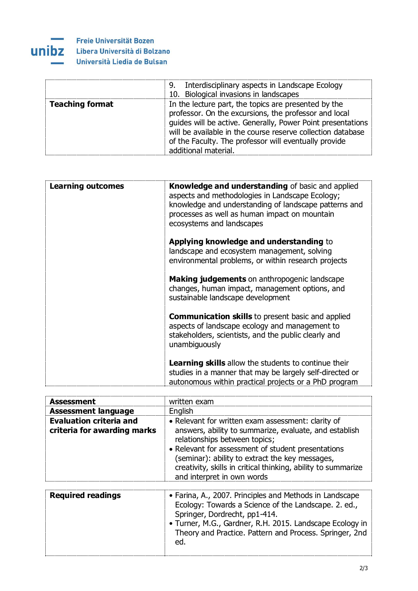

|                        | 9. Interdisciplinary aspects in Landscape Ecology<br>10. Biological invasions in landscapes                                                                                                                                                                                                                                  |
|------------------------|------------------------------------------------------------------------------------------------------------------------------------------------------------------------------------------------------------------------------------------------------------------------------------------------------------------------------|
| <b>Teaching format</b> | In the lecture part, the topics are presented by the<br>professor. On the excursions, the professor and local<br>guides will be active. Generally, Power Point presentations<br>will be available in the course reserve collection database<br>of the Faculty. The professor will eventually provide<br>additional material. |

| <b>Learning outcomes</b> | <b>Knowledge and understanding of basic and applied</b><br>aspects and methodologies in Landscape Ecology;<br>knowledge and understanding of landscape patterns and<br>processes as well as human impact on mountain<br>ecosystems and landscapes |
|--------------------------|---------------------------------------------------------------------------------------------------------------------------------------------------------------------------------------------------------------------------------------------------|
|                          | Applying knowledge and understanding to<br>landscape and ecosystem management, solving<br>environmental problems, or within research projects                                                                                                     |
|                          | <b>Making judgements</b> on anthropogenic landscape<br>changes, human impact, management options, and<br>sustainable landscape development                                                                                                        |
|                          | <b>Communication skills</b> to present basic and applied<br>aspects of landscape ecology and management to<br>stakeholders, scientists, and the public clearly and<br>unambiguously                                                               |
|                          | <b>Learning skills</b> allow the students to continue their<br>studies in a manner that may be largely self-directed or<br>autonomous within practical projects or a PhD program                                                                  |

| <b>Assessment</b>                                             | written exam                                                                                                                                                                                                                                                                                                                                          |
|---------------------------------------------------------------|-------------------------------------------------------------------------------------------------------------------------------------------------------------------------------------------------------------------------------------------------------------------------------------------------------------------------------------------------------|
| <b>Assessment language</b>                                    | English                                                                                                                                                                                                                                                                                                                                               |
| <b>Evaluation criteria and</b><br>criteria for awarding marks | • Relevant for written exam assessment: clarity of<br>answers, ability to summarize, evaluate, and establish<br>relationships between topics;<br>• Relevant for assessment of student presentations<br>(seminar): ability to extract the key messages,<br>creativity, skills in critical thinking, ability to summarize<br>and interpret in own words |
| Doguired readings                                             | • Earina A 2007 Drinciples and Mothods in Landscape                                                                                                                                                                                                                                                                                                   |

| <b>Required readings</b> | • Farina, A., 2007. Principles and Methods in Landscape<br>Ecology: Towards a Science of the Landscape. 2. ed.,<br>Springer, Dordrecht, pp1-414.<br>• Turner, M.G., Gardner, R.H. 2015. Landscape Ecology in<br>Theory and Practice. Pattern and Process. Springer, 2nd<br>ed. |
|--------------------------|--------------------------------------------------------------------------------------------------------------------------------------------------------------------------------------------------------------------------------------------------------------------------------|
|                          |                                                                                                                                                                                                                                                                                |